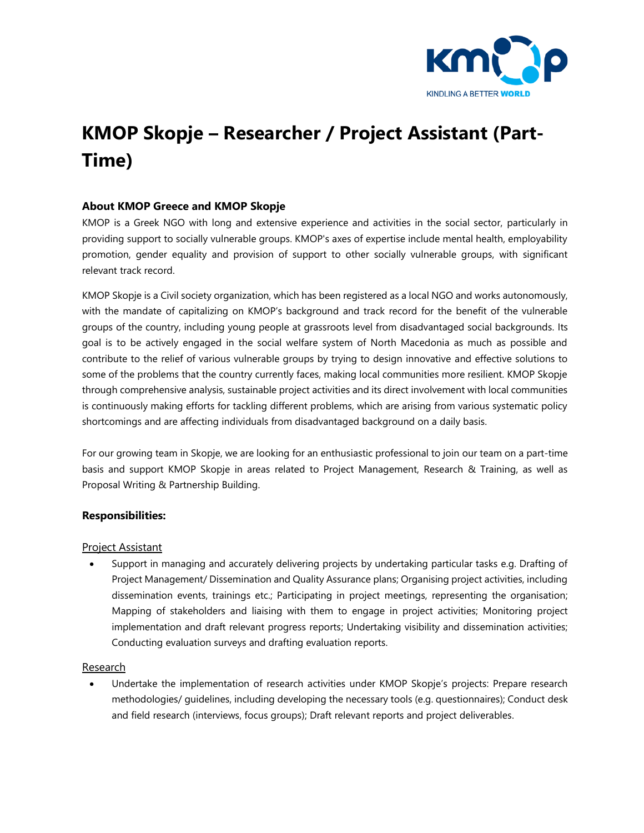

# **KMOP Skopje – Researcher / Project Assistant (Part-Time)**

## **About KMOP Greece and KMOP Skopje**

KMOP is a Greek NGO with long and extensive experience and activities in the social sector, particularly in providing support to socially vulnerable groups. KMOP's axes of expertise include mental health, employability promotion, gender equality and provision of support to other socially vulnerable groups, with significant relevant track record.

KMOP Skopje is a Civil society organization, which has been registered as a local NGO and works autonomously, with the mandate of capitalizing on KMOP's background and track record for the benefit of the vulnerable groups of the country, including young people at grassroots level from disadvantaged social backgrounds. Its goal is to be actively engaged in the social welfare system of North Macedonia as much as possible and contribute to the relief of various vulnerable groups by trying to design innovative and effective solutions to some of the problems that the country currently faces, making local communities more resilient. KMOP Skopje through comprehensive analysis, sustainable project activities and its direct involvement with local communities is continuously making efforts for tackling different problems, which are arising from various systematic policy shortcomings and are affecting individuals from disadvantaged background on a daily basis.

For our growing team in Skopje, we are looking for an enthusiastic professional to join our team on a part-time basis and support KMOP Skopje in areas related to Project Management, Research & Training, as well as Proposal Writing & Partnership Building.

#### **Responsibilities:**

#### Project Assistant

 Support in managing and accurately delivering projects by undertaking particular tasks e.g. Drafting of Project Management/ Dissemination and Quality Assurance plans; Organising project activities, including dissemination events, trainings etc.; Participating in project meetings, representing the organisation; Mapping of stakeholders and liaising with them to engage in project activities; Monitoring project implementation and draft relevant progress reports; Undertaking visibility and dissemination activities; Conducting evaluation surveys and drafting evaluation reports.

#### Research

 Undertake the implementation of research activities under KMOP Skopje's projects: Prepare research methodologies/ guidelines, including developing the necessary tools (e.g. questionnaires); Conduct desk and field research (interviews, focus groups); Draft relevant reports and project deliverables.